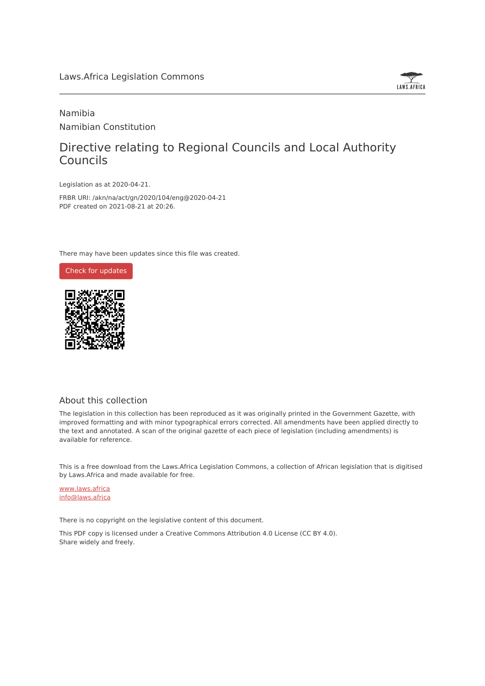

## Namibia Namibian Constitution

## Directive relating to Regional Councils and Local Authority Councils

Legislation as at 2020-04-21.

FRBR URI: /akn/na/act/gn/2020/104/eng@2020-04-21 PDF created on 2021-08-21 at 20:26.

There may have been updates since this file was created.



### About this collection

The legislation in this collection has been reproduced as it was originally printed in the Government Gazette, with improved formatting and with minor typographical errors corrected. All amendments have been applied directly to the text and annotated. A scan of the original gazette of each piece of legislation (including amendments) is available for reference.

This is a free download from the Laws.Africa Legislation Commons, a collection of African legislation that is digitised by Laws.Africa and made available for free.

[www.laws.africa](https://www.laws.africa) [info@laws.africa](mailto:info@laws.africa)

There is no copyright on the legislative content of this document.

This PDF copy is licensed under a Creative Commons Attribution 4.0 License (CC BY 4.0). Share widely and freely.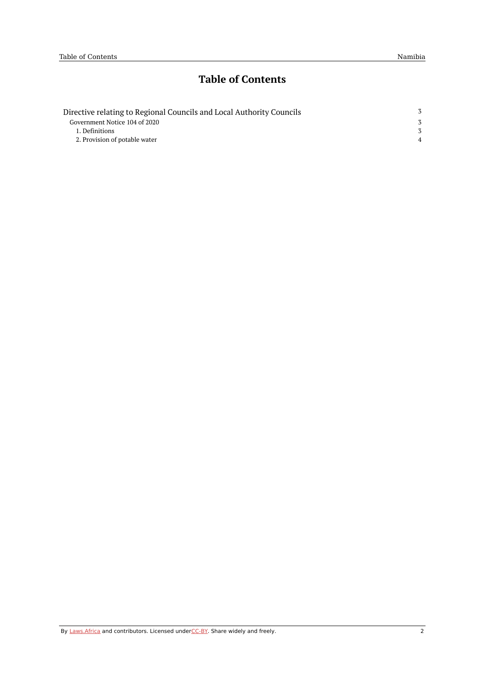# **Table of Contents**

| Directive relating to Regional Councils and Local Authority Councils |  |
|----------------------------------------------------------------------|--|
| Government Notice 104 of 2020                                        |  |
| 1. Definitions                                                       |  |
| 2. Provision of potable water                                        |  |
|                                                                      |  |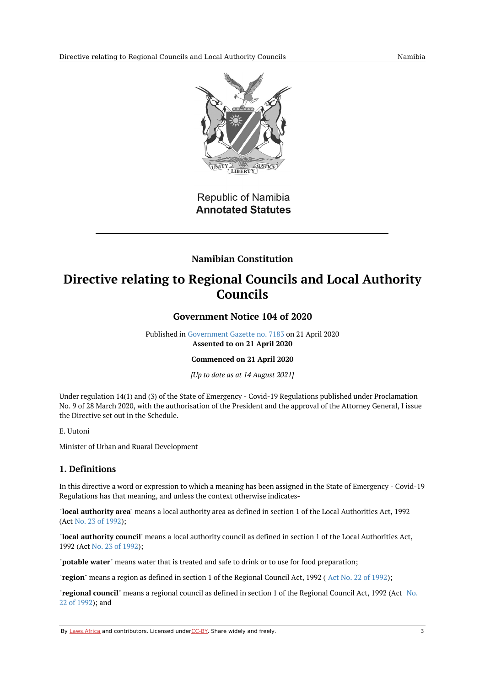

**Republic of Namibia Annotated Statutes** 

## **Namibian Constitution**

# <span id="page-2-1"></span><span id="page-2-0"></span>**Directive relating to Regional Councils and Local Authority Councils**

### **Government Notice 104 of 2020**

Published in [Government](https://commons.laws.africa/akn/na/act/gn/2020/104/media/publication/na-act-gn-2020-104-publication-document.pdf) Gazette no. 7183 on 21 April 2020 **Assented to on 21 April 2020**

#### **Commenced on 21 April 2020**

*[Up to date as at 14 August 2021]*

Under regulation 14(1) and (3) of the State of Emergency - Covid-19 Regulations published under Proclamation No. 9 of 28 March 2020, with the authorisation of the President and the approval of the Attorney General, I issue the Directive set out in the Schedule.

#### E. Uutoni

Minister of Urban and Ruaral Development

### <span id="page-2-2"></span>**1. Definitions**

In this directive a word or expression to which a meaning has been assigned in the State of Emergency - Covid-19 Regulations has that meaning, and unless the context otherwise indicates-

"**local authority area**" means a local authority area as defined in section 1 of the Local Authorities Act, 1992 (Act No. 23 of [1992](https://africanlii.org/akn/na/act/1992/23));

"**local authority council**" means a local authority council as defined in section 1 of the Local Authorities Act, 1992 (Act No. 23 of [1992\)](https://africanlii.org/akn/na/act/1992/23);

"**potable water**" means water that is treated and safe to drink or to use for food preparation;

"**region**" means a region as defined in section 1 of the Regional Council Act, 1992 ( Act No. 22 of [1992](https://africanlii.org/akn/na/act/1992/22));

"**[regional](https://africanlii.org/akn/na/act/1992/22) council**" means a regional council as defined in section 1 of the Regional Council Act, 1992 (Act No. 22 of 1992); and

By [Laws.Africa](https://edit.laws.africa/widgets/pdf-attribution) and contributors. Licensed und[erCC-B](https://edit.laws.africa/widgets/pdf-cc-by)Y. Share widely and freely. 3